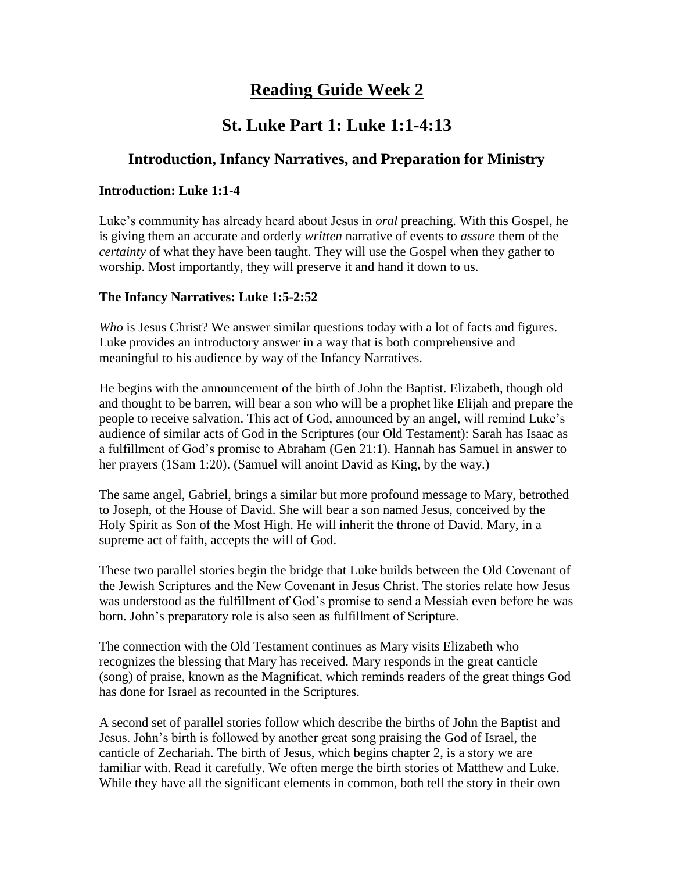# **Reading Guide Week 2**

## **St. Luke Part 1: Luke 1:1-4:13**

### **Introduction, Infancy Narratives, and Preparation for Ministry**

### **Introduction: Luke 1:1-4**

Luke's community has already heard about Jesus in *oral* preaching. With this Gospel, he is giving them an accurate and orderly *written* narrative of events to *assure* them of the *certainty* of what they have been taught. They will use the Gospel when they gather to worship. Most importantly, they will preserve it and hand it down to us.

### **The Infancy Narratives: Luke 1:5-2:52**

*Who* is Jesus Christ? We answer similar questions today with a lot of facts and figures. Luke provides an introductory answer in a way that is both comprehensive and meaningful to his audience by way of the Infancy Narratives.

He begins with the announcement of the birth of John the Baptist. Elizabeth, though old and thought to be barren, will bear a son who will be a prophet like Elijah and prepare the people to receive salvation. This act of God, announced by an angel, will remind Luke's audience of similar acts of God in the Scriptures (our Old Testament): Sarah has Isaac as a fulfillment of God's promise to Abraham (Gen 21:1). Hannah has Samuel in answer to her prayers (1Sam 1:20). (Samuel will anoint David as King, by the way.)

The same angel, Gabriel, brings a similar but more profound message to Mary, betrothed to Joseph, of the House of David. She will bear a son named Jesus, conceived by the Holy Spirit as Son of the Most High. He will inherit the throne of David. Mary, in a supreme act of faith, accepts the will of God.

These two parallel stories begin the bridge that Luke builds between the Old Covenant of the Jewish Scriptures and the New Covenant in Jesus Christ. The stories relate how Jesus was understood as the fulfillment of God's promise to send a Messiah even before he was born. John's preparatory role is also seen as fulfillment of Scripture.

The connection with the Old Testament continues as Mary visits Elizabeth who recognizes the blessing that Mary has received. Mary responds in the great canticle (song) of praise, known as the Magnificat, which reminds readers of the great things God has done for Israel as recounted in the Scriptures.

A second set of parallel stories follow which describe the births of John the Baptist and Jesus. John's birth is followed by another great song praising the God of Israel, the canticle of Zechariah. The birth of Jesus, which begins chapter 2, is a story we are familiar with. Read it carefully. We often merge the birth stories of Matthew and Luke. While they have all the significant elements in common, both tell the story in their own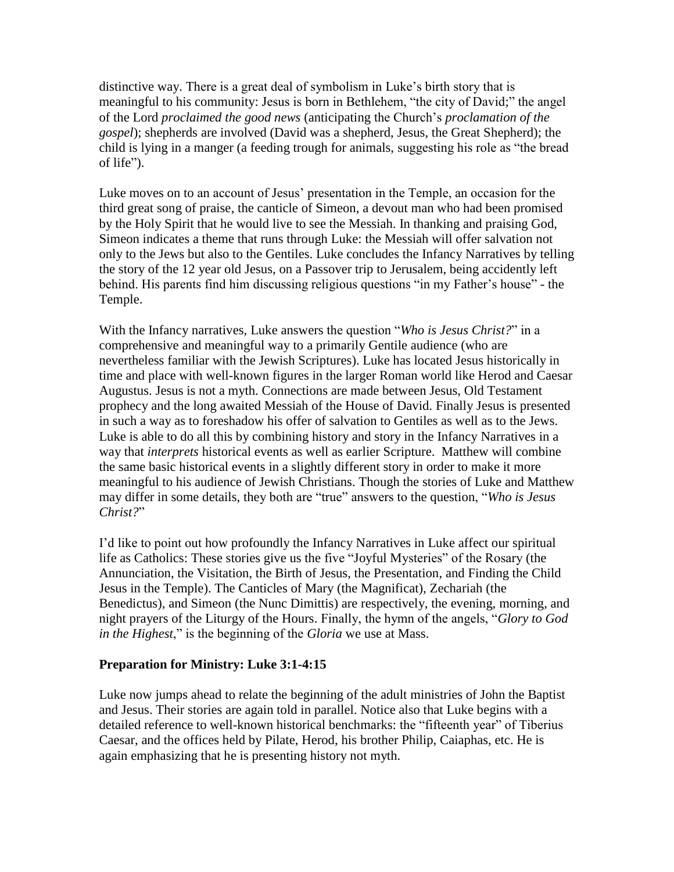distinctive way. There is a great deal of symbolism in Luke's birth story that is meaningful to his community: Jesus is born in Bethlehem, "the city of David;" the angel of the Lord *proclaimed the good news* (anticipating the Church's *proclamation of the gospel*); shepherds are involved (David was a shepherd, Jesus, the Great Shepherd); the child is lying in a manger (a feeding trough for animals, suggesting his role as "the bread of life").

Luke moves on to an account of Jesus' presentation in the Temple, an occasion for the third great song of praise, the canticle of Simeon, a devout man who had been promised by the Holy Spirit that he would live to see the Messiah. In thanking and praising God, Simeon indicates a theme that runs through Luke: the Messiah will offer salvation not only to the Jews but also to the Gentiles. Luke concludes the Infancy Narratives by telling the story of the 12 year old Jesus, on a Passover trip to Jerusalem, being accidently left behind. His parents find him discussing religious questions "in my Father's house" - the Temple.

With the Infancy narratives, Luke answers the question "*Who is Jesus Christ?*" in a comprehensive and meaningful way to a primarily Gentile audience (who are nevertheless familiar with the Jewish Scriptures). Luke has located Jesus historically in time and place with well-known figures in the larger Roman world like Herod and Caesar Augustus. Jesus is not a myth. Connections are made between Jesus, Old Testament prophecy and the long awaited Messiah of the House of David. Finally Jesus is presented in such a way as to foreshadow his offer of salvation to Gentiles as well as to the Jews. Luke is able to do all this by combining history and story in the Infancy Narratives in a way that *interprets* historical events as well as earlier Scripture. Matthew will combine the same basic historical events in a slightly different story in order to make it more meaningful to his audience of Jewish Christians. Though the stories of Luke and Matthew may differ in some details, they both are "true" answers to the question, "*Who is Jesus Christ?*"

I'd like to point out how profoundly the Infancy Narratives in Luke affect our spiritual life as Catholics: These stories give us the five "Joyful Mysteries" of the Rosary (the Annunciation, the Visitation, the Birth of Jesus, the Presentation, and Finding the Child Jesus in the Temple). The Canticles of Mary (the Magnificat), Zechariah (the Benedictus), and Simeon (the Nunc Dimittis) are respectively, the evening, morning, and night prayers of the Liturgy of the Hours. Finally, the hymn of the angels, "*Glory to God in the Highest*," is the beginning of the *Gloria* we use at Mass.

#### **Preparation for Ministry: Luke 3:1-4:15**

Luke now jumps ahead to relate the beginning of the adult ministries of John the Baptist and Jesus. Their stories are again told in parallel. Notice also that Luke begins with a detailed reference to well-known historical benchmarks: the "fifteenth year" of Tiberius Caesar, and the offices held by Pilate, Herod, his brother Philip, Caiaphas, etc. He is again emphasizing that he is presenting history not myth.